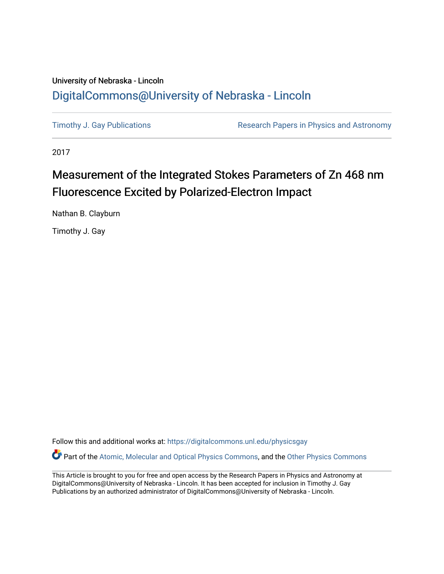## University of Nebraska - Lincoln [DigitalCommons@University of Nebraska - Lincoln](https://digitalcommons.unl.edu/)

[Timothy J. Gay Publications](https://digitalcommons.unl.edu/physicsgay) **Research Papers in Physics and Astronomy** 

2017

# Measurement of the Integrated Stokes Parameters of Zn 468 nm Fluorescence Excited by Polarized-Electron Impact

Nathan B. Clayburn

Timothy J. Gay

Follow this and additional works at: [https://digitalcommons.unl.edu/physicsgay](https://digitalcommons.unl.edu/physicsgay?utm_source=digitalcommons.unl.edu%2Fphysicsgay%2F74&utm_medium=PDF&utm_campaign=PDFCoverPages)

Part of the [Atomic, Molecular and Optical Physics Commons,](http://network.bepress.com/hgg/discipline/195?utm_source=digitalcommons.unl.edu%2Fphysicsgay%2F74&utm_medium=PDF&utm_campaign=PDFCoverPages) and the [Other Physics Commons](http://network.bepress.com/hgg/discipline/207?utm_source=digitalcommons.unl.edu%2Fphysicsgay%2F74&utm_medium=PDF&utm_campaign=PDFCoverPages) 

This Article is brought to you for free and open access by the Research Papers in Physics and Astronomy at DigitalCommons@University of Nebraska - Lincoln. It has been accepted for inclusion in Timothy J. Gay Publications by an authorized administrator of DigitalCommons@University of Nebraska - Lincoln.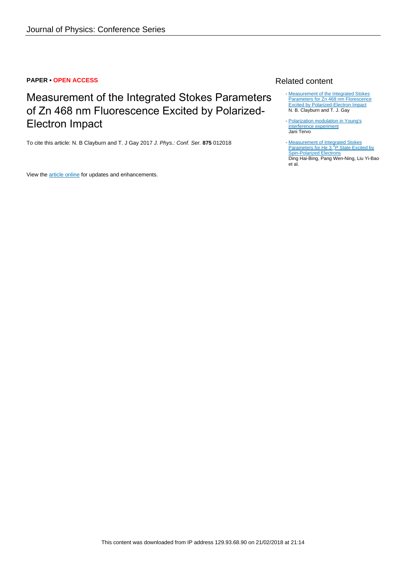### **PAPER • OPEN ACCESS**

# Measurement of the Integrated Stokes Parameters of Zn 468 nm Fluorescence Excited by Polarized-Electron Impact

To cite this article: N. B Clayburn and T. J Gay 2017 J. Phys.: Conf. Ser. **875** 012018

View the [article online](https://doi.org/10.1088/1742-6596/875/2/012018) for updates and enhancements.

### Related content

- [Measurement of the Integrated Stokes](http://iopscience.iop.org/article/10.1088/1742-6596/875/6/052024) [Parameters for Zn 468 nm Florescence](http://iopscience.iop.org/article/10.1088/1742-6596/875/6/052024) **[Excited by Polarized-Electron Impact](http://iopscience.iop.org/article/10.1088/1742-6596/875/6/052024)** N. B. Clayburn and T. J. Gay
- [Polarization modulation in Young's](http://iopscience.iop.org/article/10.1088/1742-6596/139/1/012025) [interference experiment](http://iopscience.iop.org/article/10.1088/1742-6596/139/1/012025) Jani Tervo
- [Measurement of Integrated Stokes](http://iopscience.iop.org/article/10.1088/0256-307X/22/9/031)<br>[Parameters for He 3](http://iopscience.iop.org/article/10.1088/0256-307X/22/9/031)<sup>[3](http://iopscience.iop.org/article/10.1088/0256-307X/22/9/031)</sup>P [State Excited by](http://iopscience.iop.org/article/10.1088/0256-307X/22/9/031) [Spin-Polarized Electrons](http://iopscience.iop.org/article/10.1088/0256-307X/22/9/031) Ding Hai-Bing, Pang Wen-Ning, Liu Yi-Bao et al.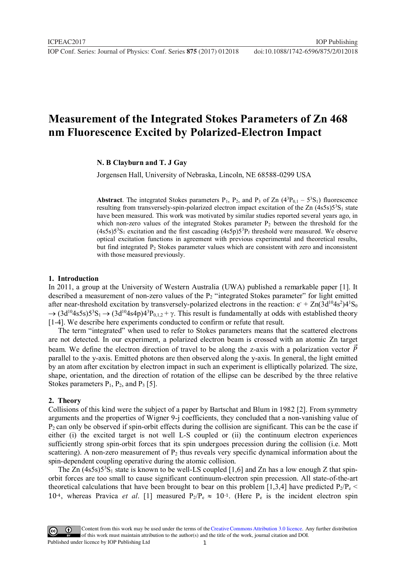**1234567890** IOP Conf. Series: Journal of Physics: Conf. Series **875** (2017) 012018 doi :10.1088/1742-6596/875/2/012018

### **Measurement of the Integrated Stokes Parameters of Zn 468 nm Fluorescence Excited by Polarized-Electron Impact**

#### **N. B Clayburn and T. J Gay**

Jorgensen Hall, University of Nebraska, Lincoln, NE 68588-0299 USA

**Abstract**. The integrated Stokes parameters  $P_1$ ,  $P_2$ , and  $P_3$  of Zn ( $4^3P_{0,1} - 5^3S_1$ ) fluorescence resulting from transversely-spin-polarized electron impact excitation of the Zn  $(4s5s)5<sup>3</sup>S<sub>1</sub>$  state have been measured. This work was motivated by similar studies reported several years ago, in which non-zero values of the integrated Stokes parameter  $P_2$  between the threshold for the  $(4s5s)5<sup>3</sup>S<sub>1</sub>$  excitation and the first cascading  $(4s5p)5<sup>3</sup>P<sub>J</sub>$  threshold were measured. We observe optical excitation functions in agreement with previous experimental and theoretical results, but find integrated P2 Stokes parameter values which are consistent with zero and inconsistent with those measured previously.

#### **1. Introduction**

In 2011, a group at the University of Western Australia (UWA) published a remarkable paper [1]. It described a measurement of non-zero values of the  $P_2$  "integrated Stokes parameter" for light emitted after near-threshold excitation by transversely-polarized electrons in the reaction:  $e^+ Zn(3d^{10}4s^2)4^1S_0$  $\rightarrow$   $(3d^{10}4s5s)5^3S_1 \rightarrow (3d^{10}4s4p)4^3P_{0,1,2} + \gamma$ . This result is fundamentally at odds with established theory [1-4]. We describe here experiments conducted to confirm or refute that result.

The term "integrated" when used to refer to Stokes parameters means that the scattered electrons are not detected. In our experiment, a polarized electron beam is crossed with an atomic Zn target beam. We define the electron direction of travel to be along the z-axis with a polarization vector  $\vec{P}$ parallel to the y-axis. Emitted photons are then observed along the y-axis. In general, the light emitted by an atom after excitation by electron impact in such an experiment is elliptically polarized. The size, shape, orientation, and the direction of rotation of the ellipse can be described by the three relative Stokes parameters  $P_1$ ,  $P_2$ , and  $P_3$  [5].

#### **2. Theory**

Collisions of this kind were the subject of a paper by Bartschat and Blum in 1982 [2]. From symmetry arguments and the properties of Wigner 9-j coefficients, they concluded that a non-vanishing value of  $P_2$  can only be observed if spin-orbit effects during the collision are significant. This can be the case if either (i) the excited target is not well L-S coupled or (ii) the continuum electron experiences sufficiently strong spin-orbit forces that its spin undergoes precession during the collision (i.e. Mott scattering). A non-zero measurement of  $P_2$  thus reveals very specific dynamical information about the spin-dependent coupling operative during the atomic collision.

The Zn  $(4s5s)5<sup>3</sup>S<sub>1</sub>$  state is known to be well-LS coupled [1,6] and Zn has a low enough Z that spinorbit forces are too small to cause significant continuum-electron spin precession. All state-of-the-art theoretical calculations that have been brought to bear on this problem [1,3,4] have predicted  $P_2/P_e$  < 10<sup>-4</sup>, whereas Pravica *et al.* [1] measured  $P_2/P_e \approx 10^{-1}$ . (Here  $P_e$  is the incident electron spin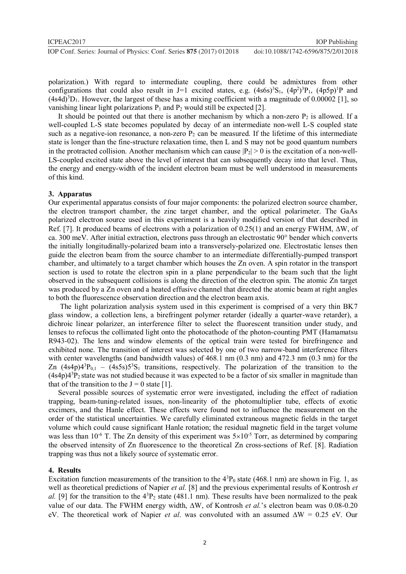polarization.) With regard to intermediate coupling, there could be admixtures from other configurations that could also result in J=1 excited states, e.g.  $(4s6s)^3S_1$ ,  $(4p^2)^3P_1$ ,  $(4p5p)^1P$  and  $(4s4d)^3D_1$ . However, the largest of these has a mixing coefficient with a magnitude of 0.00002 [1], so vanishing linear light polarizations  $P_1$  and  $P_2$  would still be expected [2].

It should be pointed out that there is another mechanism by which a non-zero  $P<sub>2</sub>$  is allowed. If a well-coupled L-S state becomes populated by decay of an intermediate non-well L-S coupled state such as a negative-ion resonance, a non-zero  $P_2$  can be measured. If the lifetime of this intermediate state is longer than the fine-structure relaxation time, then L and S may not be good quantum numbers in the protracted collision. Another mechanism which can cause  $|P_2| > 0$  is the excitation of a non-well-LS-coupled excited state above the level of interest that can subsequently decay into that level. Thus, the energy and energy-width of the incident electron beam must be well understood in measurements of this kind.

#### **3. Apparatus**

Our experimental apparatus consists of four major components: the polarized electron source chamber, the electron transport chamber, the zinc target chamber, and the optical polarimeter. The GaAs polarized electron source used in this experiment is a heavily modified version of that described in Ref. [7]. It produced beams of electrons with a polarization of  $0.25(1)$  and an energy FWHM,  $\Delta W$ , of ca. 300 meV. After initial extraction, electrons pass through an electrostatic 90° bender which converts the initially longitudinally-polarized beam into a transversely-polarized one. Electrostatic lenses then guide the electron beam from the source chamber to an intermediate differentially-pumped transport chamber, and ultimately to a target chamber which houses the Zn oven. A spin rotator in the transport section is used to rotate the electron spin in a plane perpendicular to the beam such that the light observed in the subsequent collisions is along the direction of the electron spin. The atomic Zn target was produced by a Zn oven and a heated effusive channel that directed the atomic beam at right angles to both the fluorescence observation direction and the electron beam axis.

The light polarization analysis system used in this experiment is comprised of a very thin BK7 glass window, a collection lens, a birefringent polymer retarder (ideally a quarter-wave retarder), a dichroic linear polarizer, an interference filter to select the fluorescent transition under study, and lenses to refocus the collimated light onto the photocathode of the photon-counting PMT (Hamamatsu R943-02). The lens and window elements of the optical train were tested for birefringence and exhibited none. The transition of interest was selected by one of two narrow-band interference filters with center wavelengths (and bandwidth values) of 468.1 nm (0.3 nm) and 472.3 nm (0.3 nm) for the Zn  $(4s4p)4<sup>3</sup>P<sub>0,1</sub> - (4s5s)5<sup>3</sup>S<sub>1</sub>$  transitions, respectively. The polarization of the transition to the  $(4s4p)4<sup>3</sup>P<sub>2</sub>$  state was not studied because it was expected to be a factor of six smaller in magnitude than that of the transition to the  $J = 0$  state [1].

Several possible sources of systematic error were investigated, including the effect of radiation trapping, beam-tuning-related issues, non-linearity of the photomultiplier tube, effects of exotic excimers, and the Hanle effect. These effects were found not to influence the measurement on the order of the statistical uncertainties. We carefully eliminated extraneous magnetic fields in the target volume which could cause significant Hanle rotation; the residual magnetic field in the target volume was less than 10<sup>-6</sup> T. The Zn density of this experiment was  $5\times10^{-5}$  Torr, as determined by comparing the observed intensity of Zn fluorescence to the theoretical Zn cross-sections of Ref. [8]. Radiation trapping was thus not a likely source of systematic error.

#### **4. Results**

Excitation function measurements of the transition to the  $4<sup>3</sup>P<sub>0</sub>$  state (468.1 nm) are shown in Fig. 1, as well as theoretical predictions of Napier *et al.* [8] and the previous experimental results of Kontrosh *et al.* [9] for the transition to the  $4^{3}P_{2}$  state (481.1 nm). These results have been normalized to the peak value of our data. The FWHM energy width,  $\Delta W$ , of Kontrosh *et al.*'s electron beam was 0.08-0.20 eV. The theoretical work of Napier *et al.* was convoluted with an assumed  $\Delta W = 0.25$  eV. Our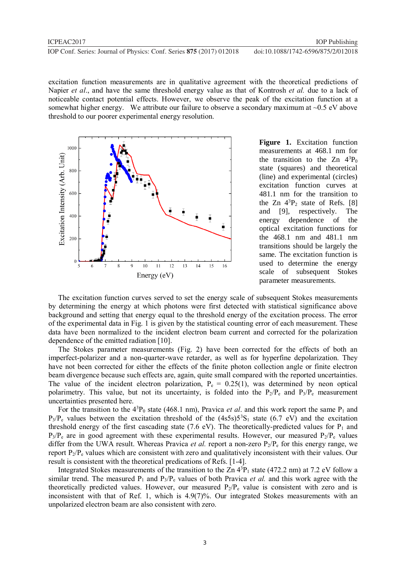excitation function measurements are in qualitative agreement with the theoretical predictions of Napier *et al*., and have the same threshold energy value as that of Kontrosh *et al.* due to a lack of noticeable contact potential effects. However, we observe the peak of the excitation function at a somewhat higher energy. We attribute our failure to observe a secondary maximum at  $\sim 0.5$  eV above threshold to our poorer experimental energy resolution.



Figure 1. Excitation function measurements at 468.1 nm for the transition to the  $Zn \frac{4^3P_0}{2^n}$ state (squares) and theoretical (line) and experimental (circles) excitation function curves at 481.1 nm for the transition to the  $Zn \, 4^3P_2$  state of Refs. [8] and [9], respectively. The energy dependence of the optical excitation functions for the 468.1 nm and 481.1 nm transitions should be largely the same. The excitation function is used to determine the energy scale of subsequent Stokes parameter measurements.

The excitation function curves served to set the energy scale of subsequent Stokes measurements by determining the energy at which photons were first detected with statistical significance above background and setting that energy equal to the threshold energy of the excitation process. The error of the experimental data in Fig. 1 is given by the statistical counting error of each measurement. These data have been normalized to the incident electron beam current and corrected for the polarization dependence of the emitted radiation [10].

The Stokes parameter measurements (Fig. 2) have been corrected for the effects of both an imperfect-polarizer and a non-quarter-wave retarder, as well as for hyperfine depolarization. They have not been corrected for either the effects of the finite photon collection angle or finite electron beam divergence because such effects are, again, quite small compared with the reported uncertainties. The value of the incident electron polarization,  $P_e = 0.25(1)$ , was determined by neon optical polarimetry. This value, but not its uncertainty, is folded into the  $P_2/P_e$  and  $P_3/P_e$  measurement uncertainties presented here.

For the transition to the  $4^{3}P_0$  state (468.1 nm), Pravica *et al.* and this work report the same  $P_1$  and  $P_3/P_e$  values between the excitation threshold of the  $(4s5s)5^3S_1$  state (6.7 eV) and the excitation threshold energy of the first cascading state (7.6 eV). The theoretically-predicted values for  $P_1$  and  $P_3/P_e$  are in good agreement with these experimental results. However, our measured  $P_2/P_e$  values differ from the UWA result. Whereas Pravica *et al.* report a non-zero  $P_2/P_e$  for this energy range, we report  $P_2/P_e$  values which are consistent with zero and qualitatively inconsistent with their values. Our result is consistent with the theoretical predications of Refs. [1-4].

Integrated Stokes measurements of the transition to the Zn  $4^{3}P_{1}$  state (472.2 nm) at 7.2 eV follow a similar trend. The measured  $P_1$  and  $P_3/P_e$  values of both Pravica *et al.* and this work agree with the theoretically predicted values. However, our measured  $P_2/P_e$  value is consistent with zero and is inconsistent with that of Ref. 1, which is 4.9(7)%. Our integrated Stokes measurements with an unpolarized electron beam are also consistent with zero.